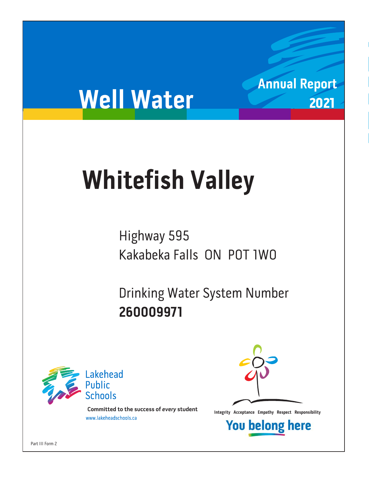# **Well Water**

# **Whitefish Valley**

Highway 595<br>Kakabeka Falls ON POT IWO Kakabeka Falls ON P0T 1W0

Drinking Water System Number<br>260009971 **260009971**



**Integrity Acceptance Empathy Respect Responsibility integrity Acceptance Empathy Respect Responsibility Example 1** 



**Annual Report**

2021

**You belong here**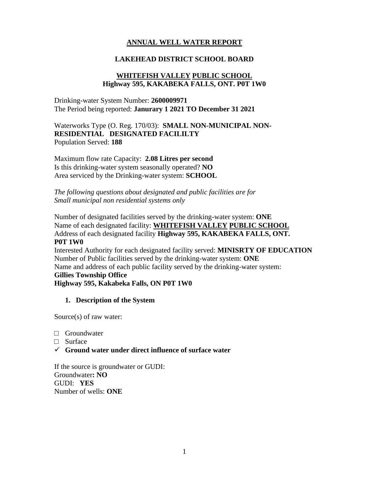# **ANNUAL WELL WATER REPORT**

#### **LAKEHEAD DISTRICT SCHOOL BOARD**

#### **WHITEFISH VALLEY PUBLIC SCHOOL Highway 595, KAKABEKA FALLS, ONT. P0T 1W0**

Drinking-water System Number: **2600009971** The Period being reported: **Janurary 1 2021 TO December 31 2021**

Waterworks Type (O. Reg. 170/03): **SMALL NON-MUNICIPAL NON-RESIDENTIAL DESIGNATED FACILILTY**  Population Served: **188**

Maximum flow rate Capacity: **2.08 Litres per second** Is this drinking-water system seasonally operated? **NO** Area serviced by the Drinking-water system: **SCHOOL**

*The following questions about designated and public facilities are for Small municipal non residential systems only* 

Number of designated facilities served by the drinking-water system: **ONE** Name of each designated facility: **WHITEFISH VALLEY PUBLIC SCHOOL** Address of each designated facility **Highway 595, KAKABEKA FALLS, ONT. P0T 1W0** Interested Authority for each designated facility served: **MINISRTY OF EDUCATION** Number of Public facilities served by the drinking-water system: **ONE** Name and address of each public facility served by the drinking-water system: **Gillies Township Office Highway 595, Kakabeka Falls, ON P0T 1W0**

#### **1. Description of the System**

Source(s) of raw water:

- □ Groundwater
- □ Surface
- ✓ **Ground water under direct influence of surface water**

If the source is groundwater or GUDI: Groundwater**: NO** GUDI: **YES** Number of wells: **ONE**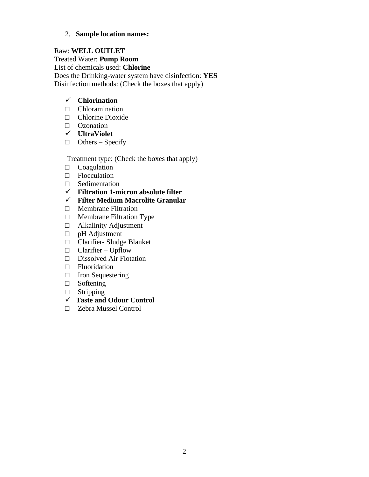#### 2. **Sample location names:**

Raw: **WELL OUTLET** Treated Water: **Pump Room** List of chemicals used: **Chlorine** Does the Drinking-water system have disinfection: **YES** Disinfection methods: (Check the boxes that apply)

### ✓ **Chlorination**

- $\Box$  Chloramination
- □ Chlorine Dioxide
- □ Ozonation
- ✓ **UltraViolet**
- $\Box$  Others Specify

Treatment type: (Check the boxes that apply)

- $\Box$  Coagulation
- □ Flocculation
- □ Sedimentation
- ✓ **Filtration 1-micron absolute filter**
- ✓ **Filter Medium Macrolite Granular**
- □ Membrane Filtration
- □ Membrane Filtration Type
- □ Alkalinity Adjustment
- □ pH Adjustment
- □ Clarifier- Sludge Blanket
- $\Box$  Clarifier Upflow
- □ Dissolved Air Flotation
- □ Fluoridation
- □ Iron Sequestering
- □ Softening
- □ Stripping
- ✓ **Taste and Odour Control**
- □ Zebra Mussel Control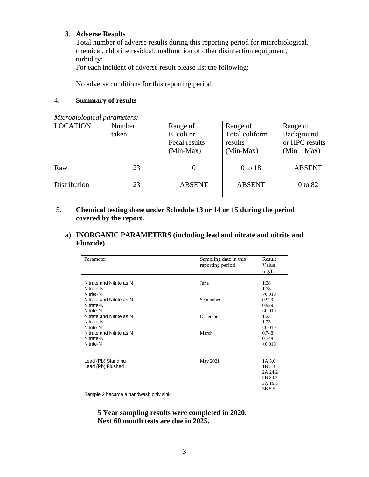#### **3**. **Adverse Results**

Total number of adverse results during this reporting period for microbiological, chemical, chlorine residual, malfunction of other disinfection equipment, turbidity:

For each incident of adverse result please list the following:

No adverse conditions for this reporting period.

### 4. **Summary of results**

| <b>LOCATION</b> | Number | Range of      | Range of       | Range of       |  |
|-----------------|--------|---------------|----------------|----------------|--|
|                 | taken  | E. coli or    | Total coliform | Background     |  |
|                 |        | Fecal results | results        | or HPC results |  |
|                 |        | $(Min-Max)$   | $(Min-Max)$    | $(Min-Max)$    |  |
|                 |        |               |                |                |  |
| Raw             | 23     |               | 0 to 18        | <b>ABSENT</b>  |  |
|                 |        |               |                |                |  |
| Distribution    | 23     | <b>ABSENT</b> | <b>ABSENT</b>  | 0 to 82        |  |
|                 |        |               |                |                |  |

*Microbiological parameters:* 

# 5. **Chemical testing done under Schedule 13 or 14 or 15 during the period covered by the report.**

# **a) INORGANIC PARAMETERS (including lead and nitrate and nitrite and Fluoride)**

| Parameter                                                                                                                                                                                                            | Sampling date in this<br>reporting period | Result<br>Value<br>mg/L                                                                                      |
|----------------------------------------------------------------------------------------------------------------------------------------------------------------------------------------------------------------------|-------------------------------------------|--------------------------------------------------------------------------------------------------------------|
| Nitrate and Nitrite as N<br>Nitrate-N<br>Nitrite-N<br>Nitrate and Nitrite as N<br>Nitrate-N<br>Nitrite-N<br>Nitrate and Nitrite as N<br>Nitrate-N<br>Nitrite-N<br>Nitrate and Nitrite as N<br>Nitrate-N<br>Nitrite-N | June<br>September<br>December<br>March    | 1.38<br>1.38<br>< 0.010<br>0.929<br>0.929<br>< 0.010<br>1.23<br>1.23<br>< 0.010<br>0.748<br>0.748<br>< 0.010 |
| Lead (Pb) Standing<br>Lead (Pb) Flushed<br>Sample 2 became a handwash only sink                                                                                                                                      | May 2021                                  | 1A 5.6<br>1B 3.3<br>2A 24.2<br>2B 23.3<br>3A 16.5<br>3B 5.5                                                  |

**5 Year sampling results were completed in 2020. Next 60 month tests are due in 2025.**